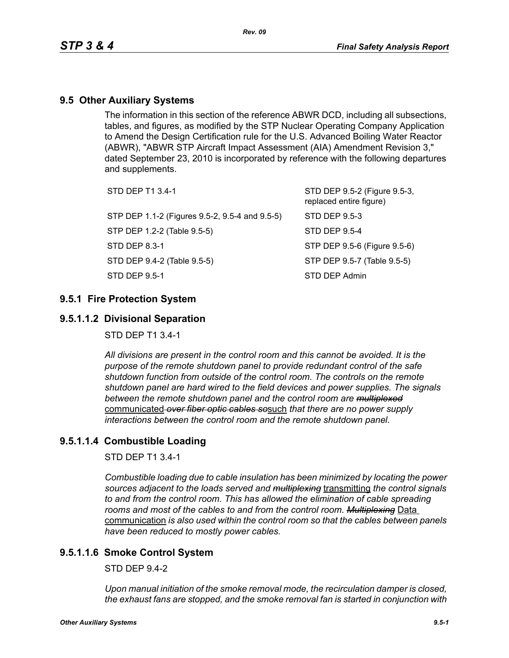## **9.5 Other Auxiliary Systems**

The information in this section of the reference ABWR DCD, including all subsections, tables, and figures, as modified by the STP Nuclear Operating Company Application to Amend the Design Certification rule for the U.S. Advanced Boiling Water Reactor (ABWR), "ABWR STP Aircraft Impact Assessment (AIA) Amendment Revision 3," dated September 23, 2010 is incorporated by reference with the following departures and supplements.

| STD DEP T1 3.4-1                               | STD DEP 9.5-2 (Figure 9.5-3,<br>replaced entire figure) |
|------------------------------------------------|---------------------------------------------------------|
| STP DEP 1.1-2 (Figures 9.5-2, 9.5-4 and 9.5-5) | STD DEP 9.5-3                                           |
| STP DEP 1.2-2 (Table 9.5-5)                    | STD DEP 9.5-4                                           |
| STD DEP 8.3-1                                  | STP DEP 9.5-6 (Figure 9.5-6)                            |
| STD DEP 9.4-2 (Table 9.5-5)                    | STP DEP 9.5-7 (Table 9.5-5)                             |
| STD DEP 9.5-1                                  | STD DEP Admin                                           |
|                                                |                                                         |

## **9.5.1 Fire Protection System**

## **9.5.1.1.2 Divisional Separation**

STD DEP T1 3.4-1

*All divisions are present in the control room and this cannot be avoided. It is the purpose of the remote shutdown panel to provide redundant control of the safe shutdown function from outside of the control room. The controls on the remote shutdown panel are hard wired to the field devices and power supplies. The signals between the remote shutdown panel and the control room are multiplexed* communicated *over fiber optic cables so*such *that there are no power supply interactions between the control room and the remote shutdown panel.*

## **9.5.1.1.4 Combustible Loading**

STD DEP T1 3.4-1

*Combustible loading due to cable insulation has been minimized by locating the power sources adjacent to the loads served and multiplexing* transmitting *the control signals to and from the control room. This has allowed the elimination of cable spreading rooms and most of the cables to and from the control room. Multiplexing* Data communication *is also used within the control room so that the cables between panels have been reduced to mostly power cables.*

## **9.5.1.1.6 Smoke Control System**

 $STD$  DFP 9.4-2

*Upon manual initiation of the smoke removal mode, the recirculation damper is closed, the exhaust fans are stopped, and the smoke removal fan is started in conjunction with*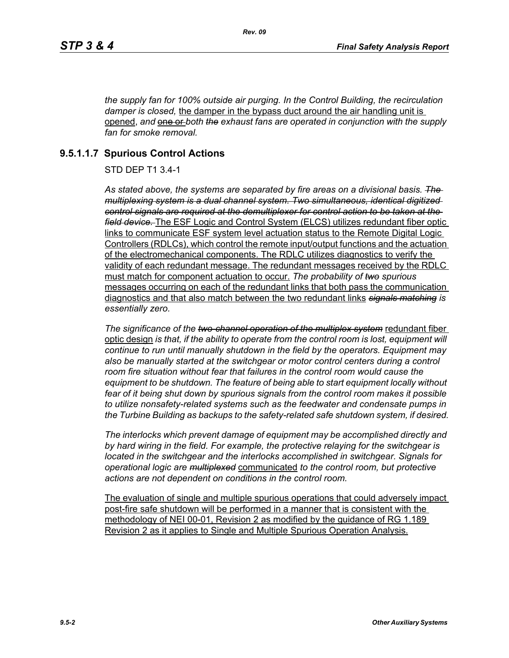*the supply fan for 100% outside air purging. In the Control Building, the recirculation damper is closed,* the damper in the bypass duct around the air handling unit is opened, and **one or** both the exhaust fans are operated in conjunction with the supply *fan for smoke removal.*

# **9.5.1.1.7 Spurious Control Actions**

STD DEP T1 3.4-1

*As stated above, the systems are separated by fire areas on a divisional basis. The multiplexing system is a dual channel system. Two simultaneous, identical digitized control signals are required at the demultiplexer for control action to be taken at the field device.* The ESF Logic and Control System (ELCS) utilizes redundant fiber optic links to communicate ESF system level actuation status to the Remote Digital Logic Controllers (RDLCs), which control the remote input/output functions and the actuation of the electromechanical components. The RDLC utilizes diagnostics to verify the validity of each redundant message. The redundant messages received by the RDLC must match for component actuation to occur. *The probability of two spurious* messages occurring on each of the redundant links that both pass the communication diagnostics and that also match between the two redundant links *signals matching is essentially zero.*

*The significance of the two-channel operation of the multiplex system* redundant fiber optic design *is that, if the ability to operate from the control room is lost, equipment will continue to run until manually shutdown in the field by the operators. Equipment may*  also be manually started at the switchgear or motor control centers during a control *room fire situation without fear that failures in the control room would cause the equipment to be shutdown. The feature of being able to start equipment locally without fear of it being shut down by spurious signals from the control room makes it possible to utilize nonsafety-related systems such as the feedwater and condensate pumps in the Turbine Building as backups to the safety-related safe shutdown system, if desired.*

*The interlocks which prevent damage of equipment may be accomplished directly and by hard wiring in the field. For example, the protective relaying for the switchgear is located in the switchgear and the interlocks accomplished in switchgear. Signals for operational logic are multiplexed* communicated *to the control room, but protective actions are not dependent on conditions in the control room.*

The evaluation of single and multiple spurious operations that could adversely impact post-fire safe shutdown will be performed in a manner that is consistent with the methodology of NEI 00-01, Revision 2 as modified by the guidance of RG 1.189 Revision 2 as it applies to Single and Multiple Spurious Operation Analysis.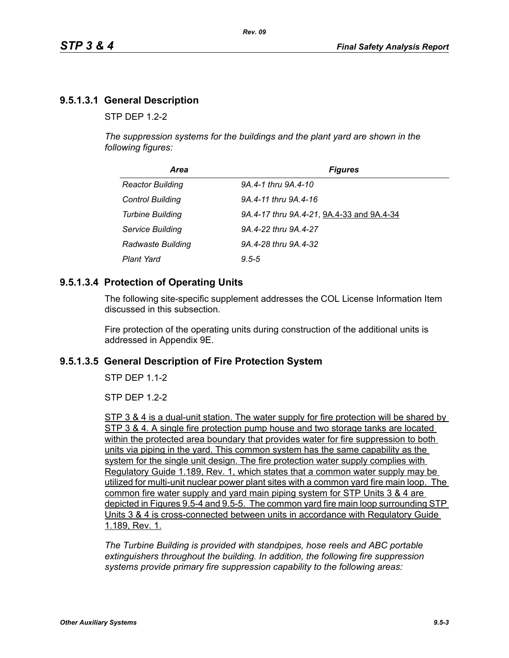# **9.5.1.3.1 General Description**

 $STP$  DFP 12-2

*The suppression systems for the buildings and the plant yard are shown in the following figures:*

| Area                    | <b>Figures</b>                            |
|-------------------------|-------------------------------------------|
| <b>Reactor Building</b> | 9A.4-1 thru 9A.4-10                       |
| <b>Control Building</b> | 9A.4-11 thru 9A.4-16                      |
| <b>Turbine Building</b> | 9A.4-17 thru 9A.4-21, 9A.4-33 and 9A.4-34 |
| Service Building        | 9A.4-22 thru 9A.4-27                      |
| Radwaste Building       | 9A.4-28 thru 9A.4-32                      |
| <b>Plant Yard</b>       | $9.5 - 5$                                 |

## **9.5.1.3.4 Protection of Operating Units**

The following site-specific supplement addresses the COL License Information Item discussed in this subsection.

Fire protection of the operating units during construction of the additional units is addressed in Appendix 9E.

## **9.5.1.3.5 General Description of Fire Protection System**

STP DEP 1.1-2

STP DEP 1.2-2

STP 3 & 4 is a dual-unit station. The water supply for fire protection will be shared by STP 3 & 4. A single fire protection pump house and two storage tanks are located within the protected area boundary that provides water for fire suppression to both units via piping in the yard. This common system has the same capability as the system for the single unit design. The fire protection water supply complies with Regulatory Guide 1.189, Rev. 1, which states that a common water supply may be utilized for multi-unit nuclear power plant sites with a common yard fire main loop. The common fire water supply and yard main piping system for STP Units 3 & 4 are depicted in Figures 9.5-4 and 9.5-5. The common yard fire main loop surrounding STP Units 3 & 4 is cross-connected between units in accordance with Regulatory Guide 1.189, Rev. 1.

*The Turbine Building is provided with standpipes, hose reels and ABC portable extinguishers throughout the building. In addition, the following fire suppression systems provide primary fire suppression capability to the following areas:*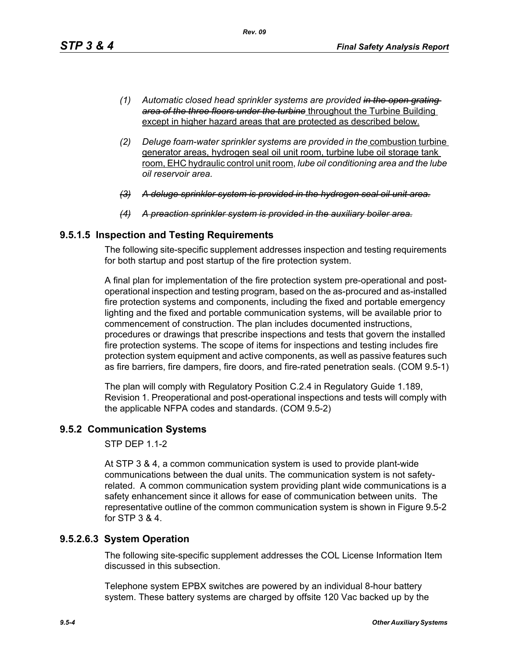- *(1) Automatic closed head sprinkler systems are provided in the open grating area of the three floors under the turbine* throughout the Turbine Building except in higher hazard areas that are protected as described below.
- *(2) Deluge foam-water sprinkler systems are provided in the* combustion turbine generator areas, hydrogen seal oil unit room, turbine lube oil storage tank room, EHC hydraulic control unit room, *lube oil conditioning area and the lube oil reservoir area.*
- *(3) A deluge sprinkler system is provided in the hydrogen seal oil unit area.*
- *(4) A preaction sprinkler system is provided in the auxiliary boiler area.*

## **9.5.1.5 Inspection and Testing Requirements**

The following site-specific supplement addresses inspection and testing requirements for both startup and post startup of the fire protection system.

A final plan for implementation of the fire protection system pre-operational and postoperational inspection and testing program, based on the as-procured and as-installed fire protection systems and components, including the fixed and portable emergency lighting and the fixed and portable communication systems, will be available prior to commencement of construction. The plan includes documented instructions, procedures or drawings that prescribe inspections and tests that govern the installed fire protection systems. The scope of items for inspections and testing includes fire protection system equipment and active components, as well as passive features such as fire barriers, fire dampers, fire doors, and fire-rated penetration seals. (COM 9.5-1)

The plan will comply with Regulatory Position C.2.4 in Regulatory Guide 1.189, Revision 1. Preoperational and post-operational inspections and tests will comply with the applicable NFPA codes and standards. (COM 9.5-2)

# **9.5.2 Communication Systems**

STP DEP 1.1-2

At STP 3 & 4, a common communication system is used to provide plant-wide communications between the dual units. The communication system is not safetyrelated. A common communication system providing plant wide communications is a safety enhancement since it allows for ease of communication between units. The representative outline of the common communication system is shown in Figure 9.5-2 for STP 3 & 4.

## **9.5.2.6.3 System Operation**

The following site-specific supplement addresses the COL License Information Item discussed in this subsection.

Telephone system EPBX switches are powered by an individual 8-hour battery system. These battery systems are charged by offsite 120 Vac backed up by the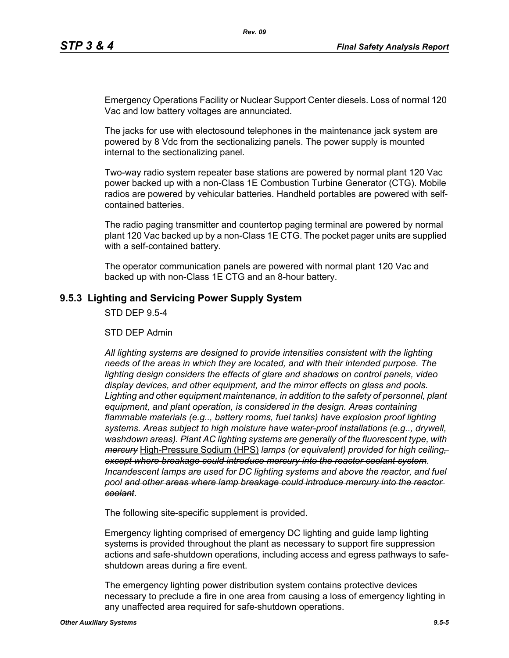Emergency Operations Facility or Nuclear Support Center diesels. Loss of normal 120 Vac and low battery voltages are annunciated.

The jacks for use with electosound telephones in the maintenance jack system are powered by 8 Vdc from the sectionalizing panels. The power supply is mounted internal to the sectionalizing panel.

Two-way radio system repeater base stations are powered by normal plant 120 Vac power backed up with a non-Class 1E Combustion Turbine Generator (CTG). Mobile radios are powered by vehicular batteries. Handheld portables are powered with selfcontained batteries.

The radio paging transmitter and countertop paging terminal are powered by normal plant 120 Vac backed up by a non-Class 1E CTG. The pocket pager units are supplied with a self-contained battery.

The operator communication panels are powered with normal plant 120 Vac and backed up with non-Class 1E CTG and an 8-hour battery.

## **9.5.3 Lighting and Servicing Power Supply System**

STD DEP 9.5-4

STD DEP Admin

*All lighting systems are designed to provide intensities consistent with the lighting needs of the areas in which they are located, and with their intended purpose. The lighting design considers the effects of glare and shadows on control panels, video display devices, and other equipment, and the mirror effects on glass and pools. Lighting and other equipment maintenance, in addition to the safety of personnel, plant equipment, and plant operation, is considered in the design. Areas containing flammable materials (e.g.., battery rooms, fuel tanks) have explosion proof lighting systems. Areas subject to high moisture have water-proof installations (e.g.., drywell, washdown areas). Plant AC lighting systems are generally of the fluorescent type, with mercury* High-Pressure Sodium (HPS) *lamps (or equivalent) provided for high ceiling, except where breakage could introduce mercury into the reactor coolant system*. *Incandescent lamps are used for DC lighting systems and above the reactor, and fuel pool and other areas where lamp breakage could introduce mercury into the reactor coolant*.

The following site-specific supplement is provided.

Emergency lighting comprised of emergency DC lighting and guide lamp lighting systems is provided throughout the plant as necessary to support fire suppression actions and safe-shutdown operations, including access and egress pathways to safeshutdown areas during a fire event.

The emergency lighting power distribution system contains protective devices necessary to preclude a fire in one area from causing a loss of emergency lighting in any unaffected area required for safe-shutdown operations.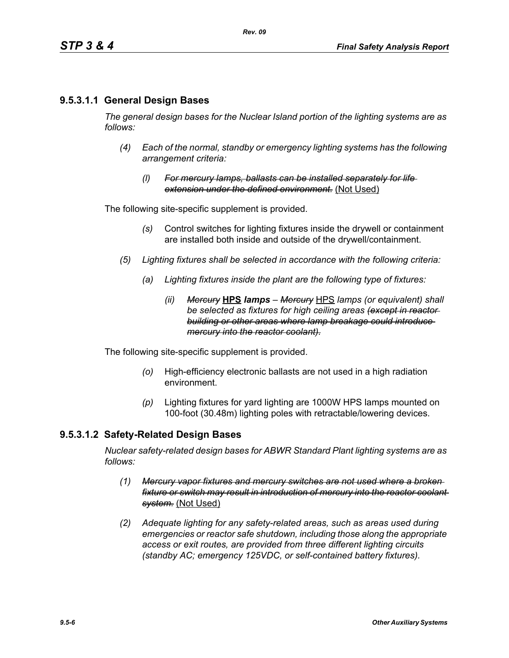## **9.5.3.1.1 General Design Bases**

*The general design bases for the Nuclear Island portion of the lighting systems are as follows:*

- *(4) Each of the normal, standby or emergency lighting systems has the following arrangement criteria:*
	- *(l) For mercury lamps, ballasts can be installed separately for life extension under the defined environment.* (Not Used)

The following site-specific supplement is provided.

- *(s)* Control switches for lighting fixtures inside the drywell or containment are installed both inside and outside of the drywell/containment.
- *(5) Lighting fixtures shall be selected in accordance with the following criteria:*
	- *(a) Lighting fixtures inside the plant are the following type of fixtures:*
		- *(ii) Mercury* **HPS** *lamps Mercury* HPS *lamps (or equivalent) shall be selected as fixtures for high ceiling areas (except in reactor building or other areas where lamp breakage could introduce mercury into the reactor coolant).*

The following site-specific supplement is provided.

- *(o)* High-efficiency electronic ballasts are not used in a high radiation environment.
- *(p)* Lighting fixtures for yard lighting are 1000W HPS lamps mounted on 100-foot (30.48m) lighting poles with retractable/lowering devices.

### **9.5.3.1.2 Safety-Related Design Bases**

*Nuclear safety-related design bases for ABWR Standard Plant lighting systems are as follows:*

- *(1) Mercury vapor fixtures and mercury switches are not used where a broken fixture or switch may result in introduction of mercury into the reactor coolant system.* (Not Used)
- *(2) Adequate lighting for any safety-related areas, such as areas used during emergencies or reactor safe shutdown, including those along the appropriate access or exit routes, are provided from three different lighting circuits (standby AC; emergency 125VDC, or self-contained battery fixtures).*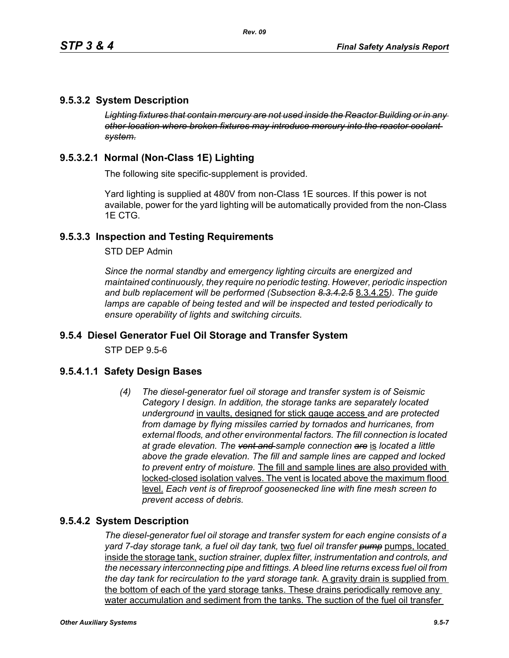## **9.5.3.2 System Description**

*Lighting fixtures that contain mercury are not used inside the Reactor Building or in any other location where broken fixtures may introduce mercury into the reactor coolant system.*

# **9.5.3.2.1 Normal (Non-Class 1E) Lighting**

The following site specific-supplement is provided.

Yard lighting is supplied at 480V from non-Class 1E sources. If this power is not available, power for the yard lighting will be automatically provided from the non-Class 1E CTG.

## **9.5.3.3 Inspection and Testing Requirements**

STD DEP Admin

*Since the normal standby and emergency lighting circuits are energized and maintained continuously, they require no periodic testing. However, periodic inspection and bulb replacement will be performed (Subsection 8.3.4.2.5* 8.3.4.25*). The guide lamps are capable of being tested and will be inspected and tested periodically to ensure operability of lights and switching circuits.*

## **9.5.4 Diesel Generator Fuel Oil Storage and Transfer System**

STP DEP 9.5-6

## **9.5.4.1.1 Safety Design Bases**

*(4) The diesel-generator fuel oil storage and transfer system is of Seismic Category I design. In addition, the storage tanks are separately located underground* in vaults, designed for stick gauge access *and are protected from damage by flying missiles carried by tornados and hurricanes, from external floods, and other environmental factors. The fill connection is located at grade elevation. The vent and sample connection are* is *located a little above the grade elevation. The fill and sample lines are capped and locked to prevent entry of moisture.* The fill and sample lines are also provided with locked-closed isolation valves. The vent is located above the maximum flood level. *Each vent is of fireproof goosenecked line with fine mesh screen to prevent access of debris.*

## **9.5.4.2 System Description**

*The diesel-generator fuel oil storage and transfer system for each engine consists of a yard 7-day storage tank, a fuel oil day tank,* two *fuel oil transfer pump* pumps, located inside the storage tank, *suction strainer, duplex filter, instrumentation and controls, and the necessary interconnecting pipe and fittings. A bleed line returns excess fuel oil from the day tank for recirculation to the yard storage tank.* A gravity drain is supplied from the bottom of each of the yard storage tanks. These drains periodically remove any water accumulation and sediment from the tanks. The suction of the fuel oil transfer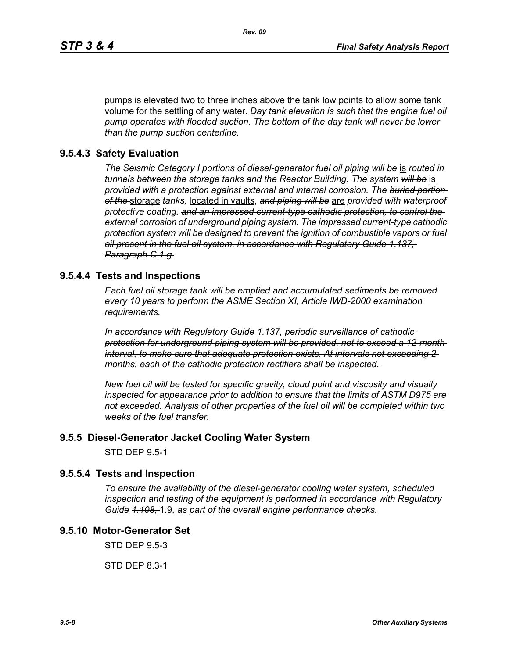pumps is elevated two to three inches above the tank low points to allow some tank volume for the settling of any water. *Day tank elevation is such that the engine fuel oil pump operates with flooded suction. The bottom of the day tank will never be lower than the pump suction centerline.*

### **9.5.4.3 Safety Evaluation**

*The Seismic Category I portions of diesel-generator fuel oil piping will be* is *routed in tunnels between the storage tanks and the Reactor Building. The system will be* is *provided with a protection against external and internal corrosion. The buried portion of the* storage *tanks,* located in vaults, *and piping will be* are *provided with waterproof protective coating. and an impressed current-type cathodic protection, to control the external corrosion of underground piping system. The impressed current-type cathodic protection system will be designed to prevent the ignition of combustible vapors or fuel oil present in the fuel oil system, in accordance with Regulatory Guide 1.137, Paragraph C.1.g.*

### **9.5.4.4 Tests and Inspections**

*Each fuel oil storage tank will be emptied and accumulated sediments be removed every 10 years to perform the ASME Section XI, Article IWD-2000 examination requirements.*

*In accordance with Regulatory Guide 1.137, periodic surveillance of cathodic protection for underground piping system will be provided, not to exceed a 12-month interval, to make sure that adequate protection exists. At intervals not exceeding 2 months, each of the cathodic protection rectifiers shall be inspected.* 

*New fuel oil will be tested for specific gravity, cloud point and viscosity and visually inspected for appearance prior to addition to ensure that the limits of ASTM D975 are not exceeded. Analysis of other properties of the fuel oil will be completed within two weeks of the fuel transfer.*

#### **9.5.5 Diesel-Generator Jacket Cooling Water System**

STD DEP 9.5-1

### **9.5.5.4 Tests and Inspection**

*To ensure the availability of the diesel-generator cooling water system, scheduled inspection and testing of the equipment is performed in accordance with Regulatory Guide 1.108,* 1.9*, as part of the overall engine performance checks.*

## **9.5.10 Motor-Generator Set**

STD DEP 9.5-3

STD DEP 8.3-1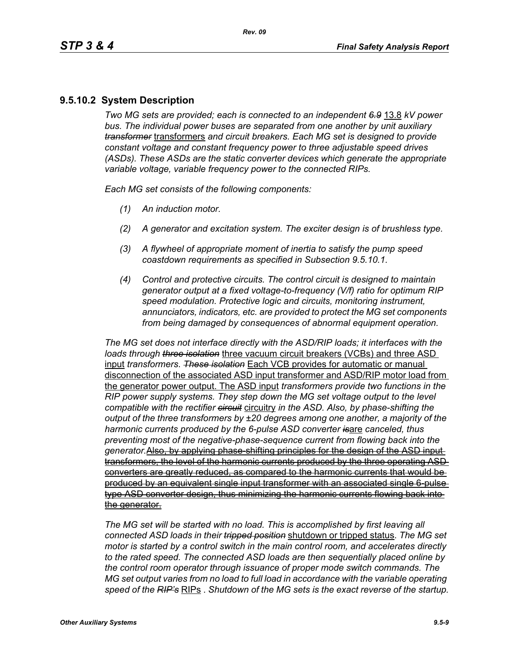# **9.5.10.2 System Description**

*Two MG sets are provided; each is connected to an independent 6.9* 13.8 *kV power bus. The individual power buses are separated from one another by unit auxiliary transformer* transformers *and circuit breakers. Each MG set is designed to provide constant voltage and constant frequency power to three adjustable speed drives (ASDs). These ASDs are the static converter devices which generate the appropriate variable voltage, variable frequency power to the connected RIPs.*

*Each MG set consists of the following components:*

- *(1) An induction motor.*
- *(2) A generator and excitation system. The exciter design is of brushless type.*
- *(3) A flywheel of appropriate moment of inertia to satisfy the pump speed coastdown requirements as specified in Subsection 9.5.10.1.*
- *(4) Control and protective circuits. The control circuit is designed to maintain generator output at a fixed voltage-to-frequency (V/f) ratio for optimum RIP speed modulation. Protective logic and circuits, monitoring instrument, annunciators, indicators, etc. are provided to protect the MG set components from being damaged by consequences of abnormal equipment operation.*

*The MG set does not interface directly with the ASD/RIP loads; it interfaces with the loads through three isolation* three vacuum circuit breakers (VCBs) and three ASD input *transformers*. *These isolation* Each VCB provides for automatic or manual disconnection of the associated ASD input transformer and ASD/RIP motor load from the generator power output. The ASD input *transformers provide two functions in the RIP power supply systems. They step down the MG set voltage output to the level compatible with the rectifier circuit* circuitry *in the ASD. Also, by phase-shifting the output of the three transformers by ±20 degrees among one another, a majority of the harmonic currents produced by the 6-pulse ASD converter is*are *canceled, thus preventing most of the negative-phase-sequence current from flowing back into the generator.*Also, by applying phase-shifting principles for the design of the ASD input transformers, the level of the harmonic currents produced by the three operating ASD converters are greatly reduced, as compared to the harmonic currents that would be produced by an equivalent single input transformer with an associated single 6-pulse type ASD converter design, thus minimizing the harmonic currents flowing back into the generator.

*The MG set will be started with no load. This is accomplished by first leaving all connected ASD loads in their tripped position* shutdown or tripped status. *The MG set motor is started by a control switch in the main control room, and accelerates directly to the rated speed. The connected ASD loads are then sequentially placed online by the control room operator through issuance of proper mode switch commands. The MG set output varies from no load to full load in accordance with the variable operating speed of the RIP's* RIPs . *Shutdown of the MG sets is the exact reverse of the startup.*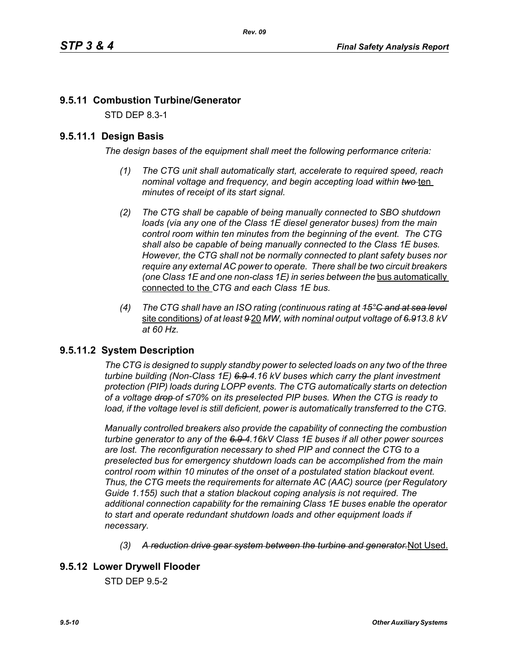# **9.5.11 Combustion Turbine/Generator**

STD DEP 8.3-1

## **9.5.11.1 Design Basis**

*The design bases of the equipment shall meet the following performance criteria:*

- *(1) The CTG unit shall automatically start, accelerate to required speed, reach nominal voltage and frequency, and begin accepting load within two* ten *minutes of receipt of its start signal.*
- *(2) The CTG shall be capable of being manually connected to SBO shutdown loads (via any one of the Class 1E diesel generator buses) from the main control room within ten minutes from the beginning of the event. The CTG shall also be capable of being manually connected to the Class 1E buses. However, the CTG shall not be normally connected to plant safety buses nor require any external AC power to operate. There shall be two circuit breakers (one Class 1E and one non-class 1E) in series between the bus automatically* connected to the *CTG and each Class 1E bus.*
- *(4) The CTG shall have an ISO rating (continuous rating at 15°C and at sea level* site conditions*) of at least 9* 20 *MW, with nominal output voltage of 6.913.8 kV at 60 Hz.*

## **9.5.11.2 System Description**

*The CTG is designed to supply standby power to selected loads on any two of the three turbine building (Non-Class 1E) 6.9 4.16 kV buses which carry the plant investment protection (PIP) loads during LOPP events. The CTG automatically starts on detection of a voltage drop of ≤70% on its preselected PIP buses. When the CTG is ready to*  load, if the voltage level is still deficient, power is automatically transferred to the CTG.

*Manually controlled breakers also provide the capability of connecting the combustion turbine generator to any of the 6.9 4.16kV Class 1E buses if all other power sources are lost. The reconfiguration necessary to shed PIP and connect the CTG to a preselected bus for emergency shutdown loads can be accomplished from the main control room within 10 minutes of the onset of a postulated station blackout event. Thus, the CTG meets the requirements for alternate AC (AAC) source (per Regulatory Guide 1.155) such that a station blackout coping analysis is not required. The additional connection capability for the remaining Class 1E buses enable the operator to start and operate redundant shutdown loads and other equipment loads if necessary.*

*(3) A reduction drive gear system between the turbine and generator.*Not Used.

## **9.5.12 Lower Drywell Flooder**

STD DEP 9.5-2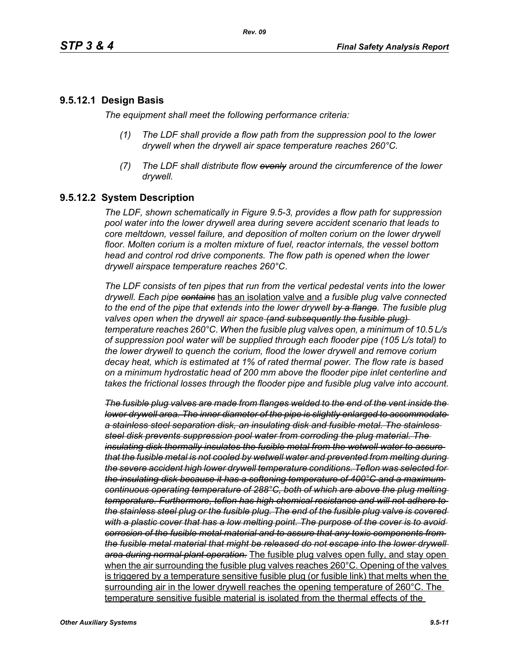### **9.5.12.1 Design Basis**

*The equipment shall meet the following performance criteria:*

- *(1) The LDF shall provide a flow path from the suppression pool to the lower drywell when the drywell air space temperature reaches 260°C.*
- *(7) The LDF shall distribute flow evenly around the circumference of the lower drywell.*

## **9.5.12.2 System Description**

*The LDF, shown schematically in Figure 9.5-3, provides a flow path for suppression pool water into the lower drywell area during severe accident scenario that leads to core meltdown, vessel failure, and deposition of molten corium on the lower drywell floor. Molten corium is a molten mixture of fuel, reactor internals, the vessel bottom head and control rod drive components. The flow path is opened when the lower drywell airspace temperature reaches 260°C*.

*The LDF consists of ten pipes that run from the vertical pedestal vents into the lower drywell. Each pipe contains* has an isolation valve and *a fusible plug valve connected to the end of the pipe that extends into the lower drywell by a flange. The fusible plug valves open when the drywell air space (and subsequently the fusible plug) temperature reaches 260°C*. *When the fusible plug valves open, a minimum of 10.5 L/s of suppression pool water will be supplied through each flooder pipe (105 L/s total) to the lower drywell to quench the corium, flood the lower drywell and remove corium decay heat, which is estimated at 1% of rated thermal power. The flow rate is based on a minimum hydrostatic head of 200 mm above the flooder pipe inlet centerline and takes the frictional losses through the flooder pipe and fusible plug valve into account.*

*The fusible plug valves are made from flanges welded to the end of the vent inside the lower drywell area. The inner diameter of the pipe is slightly enlarged to accommodate a stainless steel separation disk, an insulating disk and fusible metal. The stainless steel disk prevents suppression pool water from corroding the plug material. The insulating disk thermally insulates the fusible metal from the wetwell water to assure that the fusible metal is not cooled by wetwell water and prevented from melting during the severe accident high lower drywell temperature conditions. Teflon was selected for the insulating disk because it has a softening temperature of 400°C and a maximum continuous operating temperature of 288°C, both of which are above the plug melting temperature. Furthermore, teflon has high chemical resistance and will not adhere to the stainless steel plug or the fusible plug. The end of the fusible plug valve is covered with a plastic cover that has a low melting point. The purpose of the cover is to avoid corrosion of the fusible metal material and to assure that any toxic components from the fusible metal material that might be released do not escape into the lower drywell area during normal plant operation.* The fusible plug valves open fully, and stay open when the air surrounding the fusible plug valves reaches 260°C. Opening of the valves is triggered by a temperature sensitive fusible plug (or fusible link) that melts when the surrounding air in the lower drywell reaches the opening temperature of 260°C. The temperature sensitive fusible material is isolated from the thermal effects of the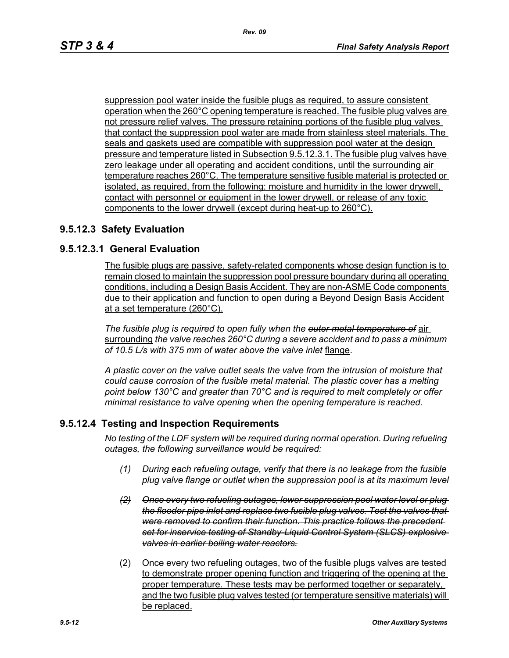suppression pool water inside the fusible plugs as required, to assure consistent operation when the 260°C opening temperature is reached. The fusible plug valves are not pressure relief valves. The pressure retaining portions of the fusible plug valves that contact the suppression pool water are made from stainless steel materials. The seals and gaskets used are compatible with suppression pool water at the design pressure and temperature listed in Subsection 9.5.12.3.1. The fusible plug valves have zero leakage under all operating and accident conditions, until the surrounding air temperature reaches 260°C. The temperature sensitive fusible material is protected or isolated, as required, from the following: moisture and humidity in the lower drywell, contact with personnel or equipment in the lower drywell, or release of any toxic components to the lower drywell (except during heat-up to 260°C).

## **9.5.12.3 Safety Evaluation**

## **9.5.12.3.1 General Evaluation**

The fusible plugs are passive, safety-related components whose design function is to remain closed to maintain the suppression pool pressure boundary during all operating conditions, including a Design Basis Accident. They are non-ASME Code components due to their application and function to open during a Beyond Design Basis Accident at a set temperature (260°C).

*The fusible plug is required to open fully when the outer metal temperature of* air surrounding *the valve reaches 260°C during a severe accident and to pass a minimum of 10.5 L/s with 375 mm of water above the valve inlet* flange.

*A plastic cover on the valve outlet seals the valve from the intrusion of moisture that could cause corrosion of the fusible metal material. The plastic cover has a melting point below 130°C and greater than 70°C and is required to melt completely or offer minimal resistance to valve opening when the opening temperature is reached.*

## **9.5.12.4 Testing and Inspection Requirements**

*No testing of the LDF system will be required during normal operation. During refueling outages, the following surveillance would be required:*

- *(1) During each refueling outage, verify that there is no leakage from the fusible plug valve flange or outlet when the suppression pool is at its maximum level*
- *(2) Once every two refueling outages, lower suppression pool water level or plug the flooder pipe inlet and replace two fusible plug valves. Test the valves that were removed to confirm their function. This practice follows the precedent set for inservice testing of Standby-Liquid Control System (SLCS) explosive valves in earlier boiling water reactors.*
- (2) Once every two refueling outages, two of the fusible plugs valves are tested to demonstrate proper opening function and triggering of the opening at the proper temperature. These tests may be performed together or separately, and the two fusible plug valves tested (or temperature sensitive materials) will be replaced.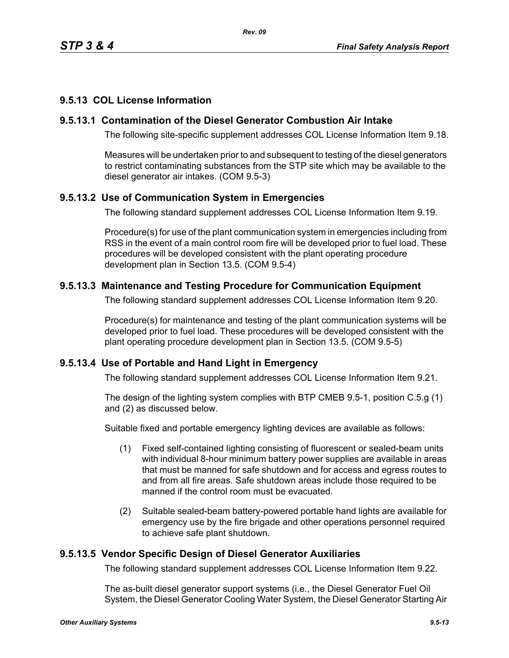# **9.5.13 COL License Information**

## **9.5.13.1 Contamination of the Diesel Generator Combustion Air Intake**

The following site-specific supplement addresses COL License Information Item 9.18.

Measures will be undertaken prior to and subsequent to testing of the diesel generators to restrict contaminating substances from the STP site which may be available to the diesel generator air intakes. (COM 9.5-3)

# **9.5.13.2 Use of Communication System in Emergencies**

The following standard supplement addresses COL License Information Item 9.19.

Procedure(s) for use of the plant communication system in emergencies including from RSS in the event of a main control room fire will be developed prior to fuel load. These procedures will be developed consistent with the plant operating procedure development plan in Section 13.5. (COM 9.5-4)

# **9.5.13.3 Maintenance and Testing Procedure for Communication Equipment**

The following standard supplement addresses COL License Information Item 9.20.

Procedure(s) for maintenance and testing of the plant communication systems will be developed prior to fuel load. These procedures will be developed consistent with the plant operating procedure development plan in Section 13.5. (COM 9.5-5)

## **9.5.13.4 Use of Portable and Hand Light in Emergency**

The following standard supplement addresses COL License Information Item 9.21.

The design of the lighting system complies with BTP CMEB 9.5-1, position C.5.g (1) and (2) as discussed below.

Suitable fixed and portable emergency lighting devices are available as follows:

- (1) Fixed self-contained lighting consisting of fluorescent or sealed-beam units with individual 8-hour minimum battery power supplies are available in areas that must be manned for safe shutdown and for access and egress routes to and from all fire areas. Safe shutdown areas include those required to be manned if the control room must be evacuated.
- (2) Suitable sealed-beam battery-powered portable hand lights are available for emergency use by the fire brigade and other operations personnel required to achieve safe plant shutdown.

## **9.5.13.5 Vendor Specific Design of Diesel Generator Auxiliaries**

The following standard supplement addresses COL License Information Item 9.22.

The as-built diesel generator support systems (i.e., the Diesel Generator Fuel Oil System, the Diesel Generator Cooling Water System, the Diesel Generator Starting Air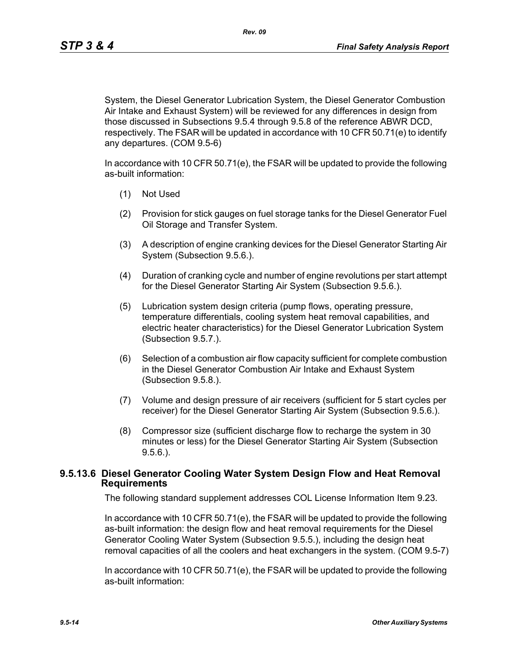*Rev. 09*

System, the Diesel Generator Lubrication System, the Diesel Generator Combustion Air Intake and Exhaust System) will be reviewed for any differences in design from those discussed in Subsections 9.5.4 through 9.5.8 of the reference ABWR DCD, respectively. The FSAR will be updated in accordance with 10 CFR 50.71(e) to identify any departures. (COM 9.5-6)

In accordance with 10 CFR 50.71(e), the FSAR will be updated to provide the following as-built information:

- (1) Not Used
- (2) Provision for stick gauges on fuel storage tanks for the Diesel Generator Fuel Oil Storage and Transfer System.
- (3) A description of engine cranking devices for the Diesel Generator Starting Air System (Subsection 9.5.6.).
- (4) Duration of cranking cycle and number of engine revolutions per start attempt for the Diesel Generator Starting Air System (Subsection 9.5.6.).
- (5) Lubrication system design criteria (pump flows, operating pressure, temperature differentials, cooling system heat removal capabilities, and electric heater characteristics) for the Diesel Generator Lubrication System (Subsection 9.5.7.).
- (6) Selection of a combustion air flow capacity sufficient for complete combustion in the Diesel Generator Combustion Air Intake and Exhaust System (Subsection 9.5.8.).
- (7) Volume and design pressure of air receivers (sufficient for 5 start cycles per receiver) for the Diesel Generator Starting Air System (Subsection 9.5.6.).
- (8) Compressor size (sufficient discharge flow to recharge the system in 30 minutes or less) for the Diesel Generator Starting Air System (Subsection 9.5.6.).

## **9.5.13.6 Diesel Generator Cooling Water System Design Flow and Heat Removal Requirements**

The following standard supplement addresses COL License Information Item 9.23.

In accordance with 10 CFR 50.71(e), the FSAR will be updated to provide the following as-built information: the design flow and heat removal requirements for the Diesel Generator Cooling Water System (Subsection 9.5.5.), including the design heat removal capacities of all the coolers and heat exchangers in the system. (COM 9.5-7)

In accordance with 10 CFR 50.71(e), the FSAR will be updated to provide the following as-built information: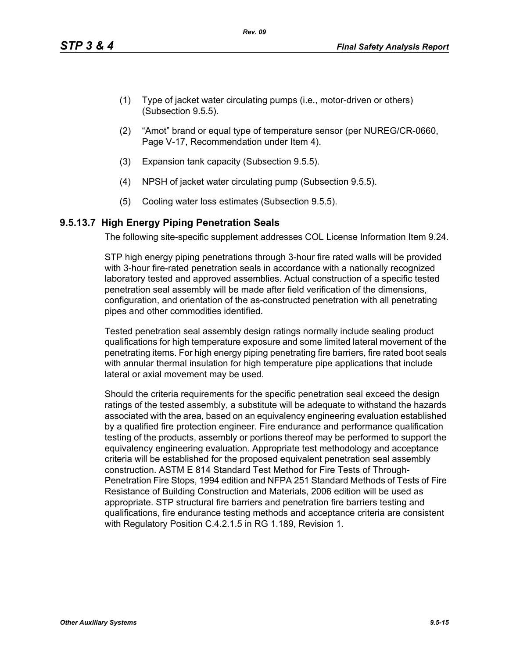- (1) Type of jacket water circulating pumps (i.e., motor-driven or others) (Subsection 9.5.5).
- (2) "Amot" brand or equal type of temperature sensor (per NUREG/CR-0660, Page V-17, Recommendation under Item 4).
- (3) Expansion tank capacity (Subsection 9.5.5).
- (4) NPSH of jacket water circulating pump (Subsection 9.5.5).
- (5) Cooling water loss estimates (Subsection 9.5.5).

## **9.5.13.7 High Energy Piping Penetration Seals**

The following site-specific supplement addresses COL License Information Item 9.24.

STP high energy piping penetrations through 3-hour fire rated walls will be provided with 3-hour fire-rated penetration seals in accordance with a nationally recognized laboratory tested and approved assemblies. Actual construction of a specific tested penetration seal assembly will be made after field verification of the dimensions, configuration, and orientation of the as-constructed penetration with all penetrating pipes and other commodities identified.

Tested penetration seal assembly design ratings normally include sealing product qualifications for high temperature exposure and some limited lateral movement of the penetrating items. For high energy piping penetrating fire barriers, fire rated boot seals with annular thermal insulation for high temperature pipe applications that include lateral or axial movement may be used.

Should the criteria requirements for the specific penetration seal exceed the design ratings of the tested assembly, a substitute will be adequate to withstand the hazards associated with the area, based on an equivalency engineering evaluation established by a qualified fire protection engineer. Fire endurance and performance qualification testing of the products, assembly or portions thereof may be performed to support the equivalency engineering evaluation. Appropriate test methodology and acceptance criteria will be established for the proposed equivalent penetration seal assembly construction. ASTM E 814 Standard Test Method for Fire Tests of Through-Penetration Fire Stops, 1994 edition and NFPA 251 Standard Methods of Tests of Fire Resistance of Building Construction and Materials, 2006 edition will be used as appropriate. STP structural fire barriers and penetration fire barriers testing and qualifications, fire endurance testing methods and acceptance criteria are consistent with Regulatory Position C.4.2.1.5 in RG 1.189, Revision 1.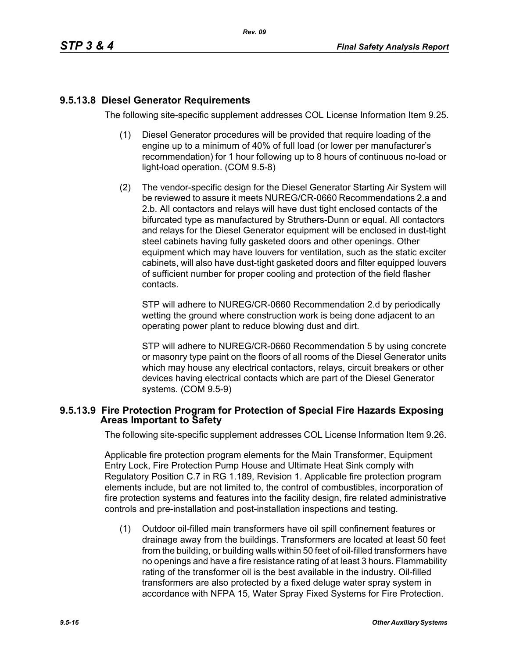# **9.5.13.8 Diesel Generator Requirements**

The following site-specific supplement addresses COL License Information Item 9.25.

- (1) Diesel Generator procedures will be provided that require loading of the engine up to a minimum of 40% of full load (or lower per manufacturer's recommendation) for 1 hour following up to 8 hours of continuous no-load or light-load operation. (COM 9.5-8)
- (2) The vendor-specific design for the Diesel Generator Starting Air System will be reviewed to assure it meets NUREG/CR-0660 Recommendations 2.a and 2.b. All contactors and relays will have dust tight enclosed contacts of the bifurcated type as manufactured by Struthers-Dunn or equal. All contactors and relays for the Diesel Generator equipment will be enclosed in dust-tight steel cabinets having fully gasketed doors and other openings. Other equipment which may have louvers for ventilation, such as the static exciter cabinets, will also have dust-tight gasketed doors and filter equipped louvers of sufficient number for proper cooling and protection of the field flasher contacts.

STP will adhere to NUREG/CR-0660 Recommendation 2.d by periodically wetting the ground where construction work is being done adjacent to an operating power plant to reduce blowing dust and dirt.

STP will adhere to NUREG/CR-0660 Recommendation 5 by using concrete or masonry type paint on the floors of all rooms of the Diesel Generator units which may house any electrical contactors, relays, circuit breakers or other devices having electrical contacts which are part of the Diesel Generator systems. (COM 9.5-9)

## **9.5.13.9 Fire Protection Program for Protection of Special Fire Hazards Exposing Areas Important to Safety**

The following site-specific supplement addresses COL License Information Item 9.26.

Applicable fire protection program elements for the Main Transformer, Equipment Entry Lock, Fire Protection Pump House and Ultimate Heat Sink comply with Regulatory Position C.7 in RG 1.189, Revision 1. Applicable fire protection program elements include, but are not limited to, the control of combustibles, incorporation of fire protection systems and features into the facility design, fire related administrative controls and pre-installation and post-installation inspections and testing.

(1) Outdoor oil-filled main transformers have oil spill confinement features or drainage away from the buildings. Transformers are located at least 50 feet from the building, or building walls within 50 feet of oil-filled transformers have no openings and have a fire resistance rating of at least 3 hours. Flammability rating of the transformer oil is the best available in the industry. Oil-filled transformers are also protected by a fixed deluge water spray system in accordance with NFPA 15, Water Spray Fixed Systems for Fire Protection.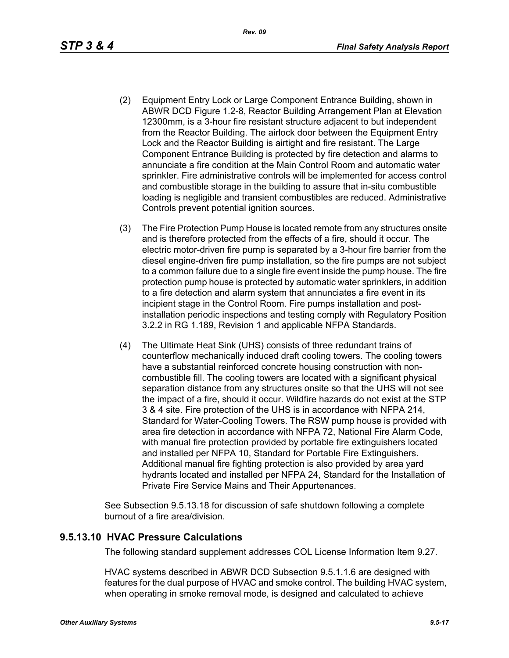- (2) Equipment Entry Lock or Large Component Entrance Building, shown in ABWR DCD Figure 1.2-8, Reactor Building Arrangement Plan at Elevation 12300mm, is a 3-hour fire resistant structure adjacent to but independent from the Reactor Building. The airlock door between the Equipment Entry Lock and the Reactor Building is airtight and fire resistant. The Large Component Entrance Building is protected by fire detection and alarms to annunciate a fire condition at the Main Control Room and automatic water sprinkler. Fire administrative controls will be implemented for access control and combustible storage in the building to assure that in-situ combustible loading is negligible and transient combustibles are reduced. Administrative Controls prevent potential ignition sources.
- (3) The Fire Protection Pump House is located remote from any structures onsite and is therefore protected from the effects of a fire, should it occur. The electric motor-driven fire pump is separated by a 3-hour fire barrier from the diesel engine-driven fire pump installation, so the fire pumps are not subject to a common failure due to a single fire event inside the pump house. The fire protection pump house is protected by automatic water sprinklers, in addition to a fire detection and alarm system that annunciates a fire event in its incipient stage in the Control Room. Fire pumps installation and postinstallation periodic inspections and testing comply with Regulatory Position 3.2.2 in RG 1.189, Revision 1 and applicable NFPA Standards.
- (4) The Ultimate Heat Sink (UHS) consists of three redundant trains of counterflow mechanically induced draft cooling towers. The cooling towers have a substantial reinforced concrete housing construction with noncombustible fill. The cooling towers are located with a significant physical separation distance from any structures onsite so that the UHS will not see the impact of a fire, should it occur. Wildfire hazards do not exist at the STP 3 & 4 site. Fire protection of the UHS is in accordance with NFPA 214, Standard for Water-Cooling Towers. The RSW pump house is provided with area fire detection in accordance with NFPA 72, National Fire Alarm Code, with manual fire protection provided by portable fire extinguishers located and installed per NFPA 10, Standard for Portable Fire Extinguishers. Additional manual fire fighting protection is also provided by area yard hydrants located and installed per NFPA 24, Standard for the Installation of Private Fire Service Mains and Their Appurtenances.

See Subsection 9.5.13.18 for discussion of safe shutdown following a complete burnout of a fire area/division.

## **9.5.13.10 HVAC Pressure Calculations**

The following standard supplement addresses COL License Information Item 9.27.

HVAC systems described in ABWR DCD Subsection 9.5.1.1.6 are designed with features for the dual purpose of HVAC and smoke control. The building HVAC system, when operating in smoke removal mode, is designed and calculated to achieve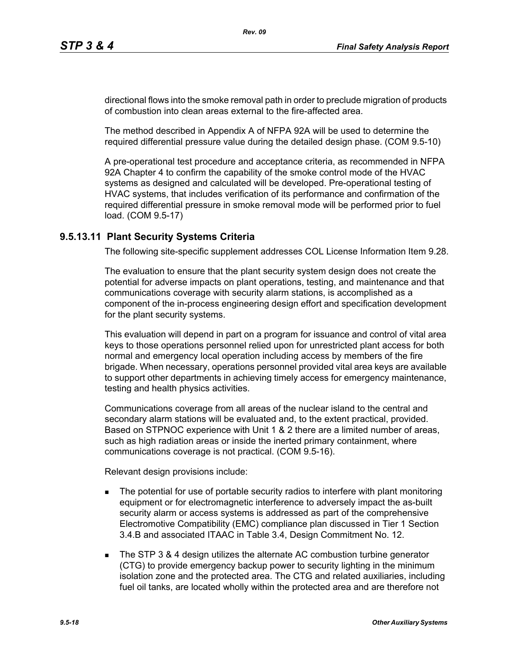directional flows into the smoke removal path in order to preclude migration of products of combustion into clean areas external to the fire-affected area.

The method described in Appendix A of NFPA 92A will be used to determine the required differential pressure value during the detailed design phase. (COM 9.5-10)

A pre-operational test procedure and acceptance criteria, as recommended in NFPA 92A Chapter 4 to confirm the capability of the smoke control mode of the HVAC systems as designed and calculated will be developed. Pre-operational testing of HVAC systems, that includes verification of its performance and confirmation of the required differential pressure in smoke removal mode will be performed prior to fuel load. (COM 9.5-17)

## **9.5.13.11 Plant Security Systems Criteria**

The following site-specific supplement addresses COL License Information Item 9.28.

The evaluation to ensure that the plant security system design does not create the potential for adverse impacts on plant operations, testing, and maintenance and that communications coverage with security alarm stations, is accomplished as a component of the in-process engineering design effort and specification development for the plant security systems.

This evaluation will depend in part on a program for issuance and control of vital area keys to those operations personnel relied upon for unrestricted plant access for both normal and emergency local operation including access by members of the fire brigade. When necessary, operations personnel provided vital area keys are available to support other departments in achieving timely access for emergency maintenance, testing and health physics activities.

Communications coverage from all areas of the nuclear island to the central and secondary alarm stations will be evaluated and, to the extent practical, provided. Based on STPNOC experience with Unit 1 & 2 there are a limited number of areas, such as high radiation areas or inside the inerted primary containment, where communications coverage is not practical. (COM 9.5-16).

Relevant design provisions include:

- **The potential for use of portable security radios to interfere with plant monitoring** equipment or for electromagnetic interference to adversely impact the as-built security alarm or access systems is addressed as part of the comprehensive Electromotive Compatibility (EMC) compliance plan discussed in Tier 1 Section 3.4.B and associated ITAAC in Table 3.4, Design Commitment No. 12.
- The STP 3 & 4 design utilizes the alternate AC combustion turbine generator (CTG) to provide emergency backup power to security lighting in the minimum isolation zone and the protected area. The CTG and related auxiliaries, including fuel oil tanks, are located wholly within the protected area and are therefore not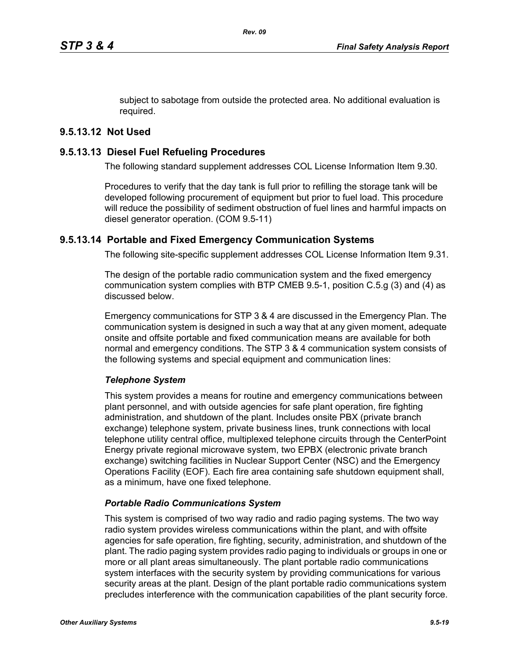subject to sabotage from outside the protected area. No additional evaluation is required.

# **9.5.13.12 Not Used**

## **9.5.13.13 Diesel Fuel Refueling Procedures**

The following standard supplement addresses COL License Information Item 9.30.

Procedures to verify that the day tank is full prior to refilling the storage tank will be developed following procurement of equipment but prior to fuel load. This procedure will reduce the possibility of sediment obstruction of fuel lines and harmful impacts on diesel generator operation. (COM 9.5-11)

## **9.5.13.14 Portable and Fixed Emergency Communication Systems**

The following site-specific supplement addresses COL License Information Item 9.31.

The design of the portable radio communication system and the fixed emergency communication system complies with BTP CMEB 9.5-1, position C.5.g (3) and (4) as discussed below.

Emergency communications for STP 3 & 4 are discussed in the Emergency Plan. The communication system is designed in such a way that at any given moment, adequate onsite and offsite portable and fixed communication means are available for both normal and emergency conditions. The STP 3 & 4 communication system consists of the following systems and special equipment and communication lines:

## *Telephone System*

This system provides a means for routine and emergency communications between plant personnel, and with outside agencies for safe plant operation, fire fighting administration, and shutdown of the plant. Includes onsite PBX (private branch exchange) telephone system, private business lines, trunk connections with local telephone utility central office, multiplexed telephone circuits through the CenterPoint Energy private regional microwave system, two EPBX (electronic private branch exchange) switching facilities in Nuclear Support Center (NSC) and the Emergency Operations Facility (EOF). Each fire area containing safe shutdown equipment shall, as a minimum, have one fixed telephone.

## *Portable Radio Communications System*

This system is comprised of two way radio and radio paging systems. The two way radio system provides wireless communications within the plant, and with offsite agencies for safe operation, fire fighting, security, administration, and shutdown of the plant. The radio paging system provides radio paging to individuals or groups in one or more or all plant areas simultaneously. The plant portable radio communications system interfaces with the security system by providing communications for various security areas at the plant. Design of the plant portable radio communications system precludes interference with the communication capabilities of the plant security force.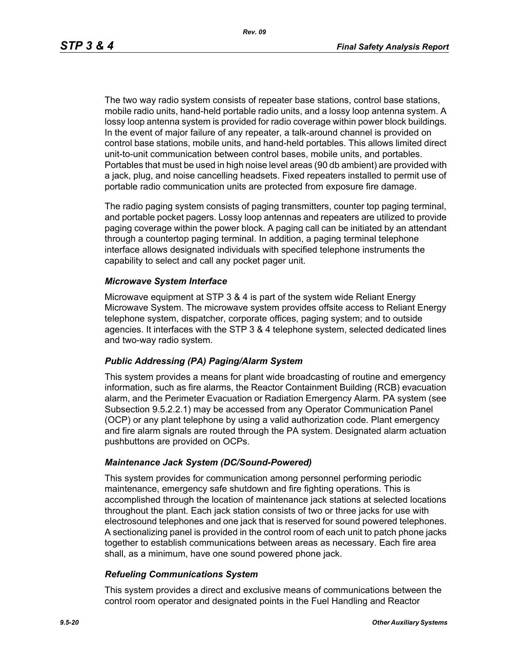The two way radio system consists of repeater base stations, control base stations, mobile radio units, hand-held portable radio units, and a lossy loop antenna system. A lossy loop antenna system is provided for radio coverage within power block buildings. In the event of major failure of any repeater, a talk-around channel is provided on control base stations, mobile units, and hand-held portables. This allows limited direct unit-to-unit communication between control bases, mobile units, and portables. Portables that must be used in high noise level areas (90 db ambient) are provided with a jack, plug, and noise cancelling headsets. Fixed repeaters installed to permit use of portable radio communication units are protected from exposure fire damage.

The radio paging system consists of paging transmitters, counter top paging terminal, and portable pocket pagers. Lossy loop antennas and repeaters are utilized to provide paging coverage within the power block. A paging call can be initiated by an attendant through a countertop paging terminal. In addition, a paging terminal telephone interface allows designated individuals with specified telephone instruments the capability to select and call any pocket pager unit.

### *Microwave System Interface*

Microwave equipment at STP 3 & 4 is part of the system wide Reliant Energy Microwave System. The microwave system provides offsite access to Reliant Energy telephone system, dispatcher, corporate offices, paging system; and to outside agencies. It interfaces with the STP 3 & 4 telephone system, selected dedicated lines and two-way radio system.

#### *Public Addressing (PA) Paging/Alarm System*

This system provides a means for plant wide broadcasting of routine and emergency information, such as fire alarms, the Reactor Containment Building (RCB) evacuation alarm, and the Perimeter Evacuation or Radiation Emergency Alarm. PA system (see Subsection 9.5.2.2.1) may be accessed from any Operator Communication Panel (OCP) or any plant telephone by using a valid authorization code. Plant emergency and fire alarm signals are routed through the PA system. Designated alarm actuation pushbuttons are provided on OCPs.

#### *Maintenance Jack System (DC/Sound-Powered)*

This system provides for communication among personnel performing periodic maintenance, emergency safe shutdown and fire fighting operations. This is accomplished through the location of maintenance jack stations at selected locations throughout the plant. Each jack station consists of two or three jacks for use with electrosound telephones and one jack that is reserved for sound powered telephones. A sectionalizing panel is provided in the control room of each unit to patch phone jacks together to establish communications between areas as necessary. Each fire area shall, as a minimum, have one sound powered phone jack.

#### *Refueling Communications System*

This system provides a direct and exclusive means of communications between the control room operator and designated points in the Fuel Handling and Reactor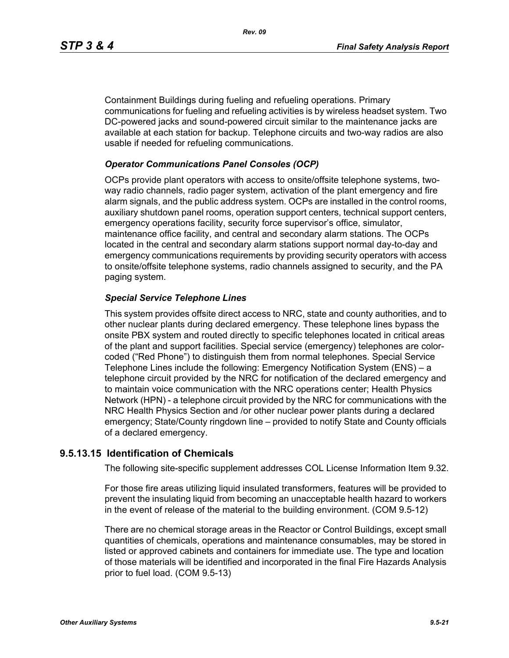Containment Buildings during fueling and refueling operations. Primary communications for fueling and refueling activities is by wireless headset system. Two DC-powered jacks and sound-powered circuit similar to the maintenance jacks are available at each station for backup. Telephone circuits and two-way radios are also usable if needed for refueling communications.

### *Operator Communications Panel Consoles (OCP)*

OCPs provide plant operators with access to onsite/offsite telephone systems, twoway radio channels, radio pager system, activation of the plant emergency and fire alarm signals, and the public address system. OCPs are installed in the control rooms, auxiliary shutdown panel rooms, operation support centers, technical support centers, emergency operations facility, security force supervisor's office, simulator, maintenance office facility, and central and secondary alarm stations. The OCPs located in the central and secondary alarm stations support normal day-to-day and emergency communications requirements by providing security operators with access to onsite/offsite telephone systems, radio channels assigned to security, and the PA paging system.

### *Special Service Telephone Lines*

This system provides offsite direct access to NRC, state and county authorities, and to other nuclear plants during declared emergency. These telephone lines bypass the onsite PBX system and routed directly to specific telephones located in critical areas of the plant and support facilities. Special service (emergency) telephones are colorcoded ("Red Phone") to distinguish them from normal telephones. Special Service Telephone Lines include the following: Emergency Notification System (ENS) – a telephone circuit provided by the NRC for notification of the declared emergency and to maintain voice communication with the NRC operations center; Health Physics Network (HPN) - a telephone circuit provided by the NRC for communications with the NRC Health Physics Section and /or other nuclear power plants during a declared emergency; State/County ringdown line – provided to notify State and County officials of a declared emergency.

## **9.5.13.15 Identification of Chemicals**

The following site-specific supplement addresses COL License Information Item 9.32.

For those fire areas utilizing liquid insulated transformers, features will be provided to prevent the insulating liquid from becoming an unacceptable health hazard to workers in the event of release of the material to the building environment. (COM 9.5-12)

There are no chemical storage areas in the Reactor or Control Buildings, except small quantities of chemicals, operations and maintenance consumables, may be stored in listed or approved cabinets and containers for immediate use. The type and location of those materials will be identified and incorporated in the final Fire Hazards Analysis prior to fuel load. (COM 9.5-13)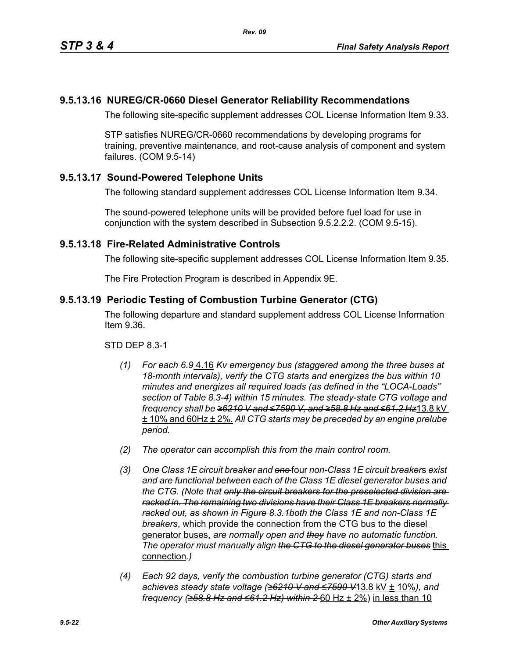# **9.5.13.16 NUREG/CR-0660 Diesel Generator Reliability Recommendations**

The following site-specific supplement addresses COL License Information Item 9.33.

STP satisfies NUREG/CR-0660 recommendations by developing programs for training, preventive maintenance, and root-cause analysis of component and system failures. (COM 9.5-14)

# **9.5.13.17 Sound-Powered Telephone Units**

The following standard supplement addresses COL License Information Item 9.34.

The sound-powered telephone units will be provided before fuel load for use in conjunction with the system described in Subsection 9.5.2.2.2. (COM 9.5-15).

## **9.5.13.18 Fire-Related Administrative Controls**

The following site-specific supplement addresses COL License Information Item 9.35.

The Fire Protection Program is described in Appendix 9E.

## **9.5.13.19 Periodic Testing of Combustion Turbine Generator (CTG)**

The following departure and standard supplement address COL License Information Item 9.36.

STD DEP 8.3-1

- *(1) For each 6.9* 4.16 *Kv emergency bus (staggered among the three buses at 18-month intervals), verify the CTG starts and energizes the bus within 10 minutes and energizes all required loads (as defined in the "LOCA-Loads" section of Table 8.3-4) within 15 minutes. The steady-state CTG voltage and frequency shall be ≥6210 V and ≤7590 V, and ≥58.8 Hz and ≤61.2 Hz*13.8 kV ± 10% and 60Hz ± 2%. *All CTG starts may be preceded by an engine prelube period.*
- *(2) The operator can accomplish this from the main control room.*
- *(3) One Class 1E circuit breaker and one* four *non-Class 1E circuit breaker*s *exist and are functional between each of the Class 1E diesel generator buses and the CTG. (Note that only the circuit breakers for the preselected division are racked in. The remaining two divisions have their Class 1E breakers normally racked out, as shown in Figure 8.3.1both the Class 1E and non-Class 1E breakers*, which provide the connection from the CTG bus to the diesel generator buses, *are normally open and they have no automatic function. The operator must manually align the CTG to the diesel generator buses* this connection*.)*
- *(4) Each 92 days, verify the combustion turbine generator (CTG) starts and achieves steady state voltage (≥6210 V and ≤7590 V*13.8 kV ± 10%*), and frequency (≥58.8 Hz and ≤61.2 Hz) within 2* 60 Hz ± 2%) in less than 10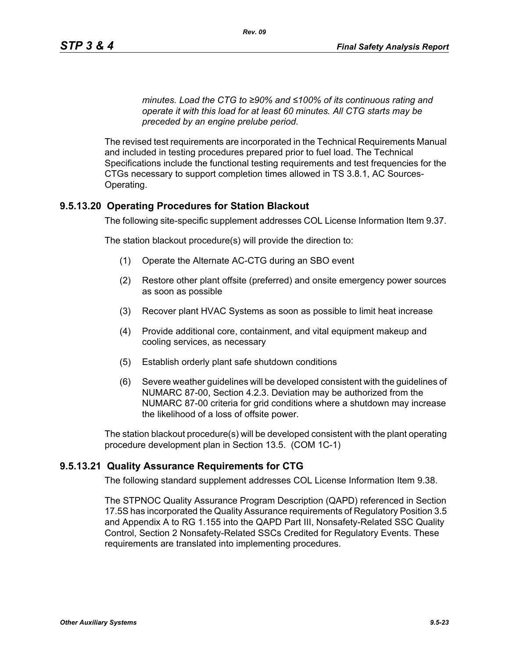*minutes. Load the CTG to ≥90% and ≤100% of its continuous rating and operate it with this load for at least 60 minutes. All CTG starts may be preceded by an engine prelube period.*

The revised test requirements are incorporated in the Technical Requirements Manual and included in testing procedures prepared prior to fuel load. The Technical Specifications include the functional testing requirements and test frequencies for the CTGs necessary to support completion times allowed in TS 3.8.1, AC Sources-Operating.

## **9.5.13.20 Operating Procedures for Station Blackout**

The following site-specific supplement addresses COL License Information Item 9.37.

The station blackout procedure(s) will provide the direction to:

- (1) Operate the Alternate AC-CTG during an SBO event
- (2) Restore other plant offsite (preferred) and onsite emergency power sources as soon as possible
- (3) Recover plant HVAC Systems as soon as possible to limit heat increase
- (4) Provide additional core, containment, and vital equipment makeup and cooling services, as necessary
- (5) Establish orderly plant safe shutdown conditions
- (6) Severe weather guidelines will be developed consistent with the guidelines of NUMARC 87-00, Section 4.2.3. Deviation may be authorized from the NUMARC 87-00 criteria for grid conditions where a shutdown may increase the likelihood of a loss of offsite power.

The station blackout procedure(s) will be developed consistent with the plant operating procedure development plan in Section 13.5. (COM 1C-1)

### **9.5.13.21 Quality Assurance Requirements for CTG**

The following standard supplement addresses COL License Information Item 9.38.

The STPNOC Quality Assurance Program Description (QAPD) referenced in Section 17.5S has incorporated the Quality Assurance requirements of Regulatory Position 3.5 and Appendix A to RG 1.155 into the QAPD Part III, Nonsafety-Related SSC Quality Control, Section 2 Nonsafety-Related SSCs Credited for Regulatory Events. These requirements are translated into implementing procedures.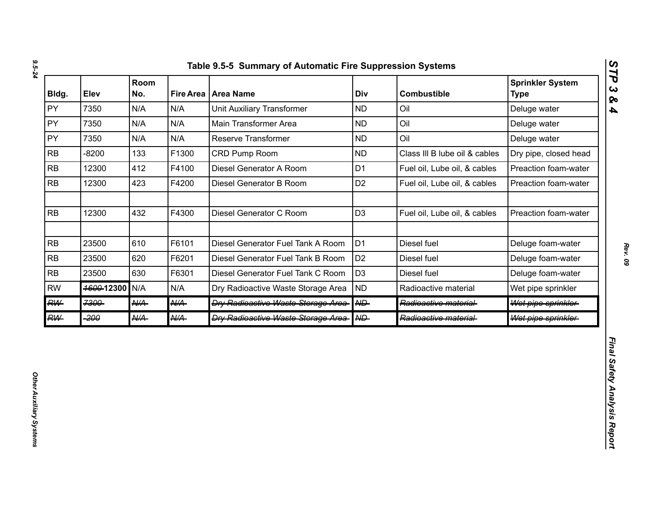| Bldg.     | Elev       | Room<br>No.     |                 | Fire Area   Area Name                      | Div               | <b>Combustible</b>            | <b>Sprinkler System</b><br><b>Type</b> |
|-----------|------------|-----------------|-----------------|--------------------------------------------|-------------------|-------------------------------|----------------------------------------|
| PY        | 7350       | N/A             | N/A             | <b>Unit Auxiliary Transformer</b>          | <b>ND</b>         | Oil                           | Deluge water                           |
| PY        | 7350       | N/A             | N/A             | Main Transformer Area                      | <b>ND</b>         | Oil                           | Deluge water                           |
| PY        | 7350       | N/A             | N/A             | Reserve Transformer                        | <b>ND</b>         | Oil                           | Deluge water                           |
| <b>RB</b> | $-8200$    | 133             | F1300           | CRD Pump Room                              | <b>ND</b>         | Class III B lube oil & cables | Dry pipe, closed head                  |
| <b>RB</b> | 12300      | 412             | F4100           | Diesel Generator A Room                    | D <sub>1</sub>    | Fuel oil, Lube oil, & cables  | Preaction foam-water                   |
| <b>RB</b> | 12300      | 423             | F4200           | Diesel Generator B Room                    | D <sub>2</sub>    | Fuel oil, Lube oil, & cables  | Preaction foam-water                   |
| RB        | 12300      | 432             | F4300           | Diesel Generator C Room                    | D <sub>3</sub>    | Fuel oil, Lube oil, & cables  | Preaction foam-water                   |
| RB        | 23500      | 610             | F6101           | Diesel Generator Fuel Tank A Room          | D <sub>1</sub>    | Diesel fuel                   | Deluge foam-water                      |
| <b>RB</b> | 23500      | 620             | F6201           | Diesel Generator Fuel Tank B Room          | D <sub>2</sub>    | Diesel fuel                   | Deluge foam-water                      |
| RB        | 23500      | 630             | F6301           | Diesel Generator Fuel Tank C Room          | D <sub>3</sub>    | Diesel fuel                   | Deluge foam-water                      |
| <b>RW</b> | 4600-12300 | N/A             | N/A             | Dry Radioactive Waste Storage Area         | <b>ND</b>         | Radioactive material          | Wet pipe sprinkler                     |
| <b>RW</b> | 7300       | AKA-            | $A\mathcal{U}A$ | <b>Dry Radioactive Waste Storage Area-</b> | $A \rightarrow B$ | Radioactive material-         | Wet pipe sprinkler                     |
| <b>RW</b> | -200       | $A\mathcal{U}A$ | <b>N/A</b>      | <b>Dry Radioactive Waste Storage Area-</b> | A                 | Radioactive material-         | Wet pipe sprinkler                     |

*Rev. 09*

*STP 3 & 4*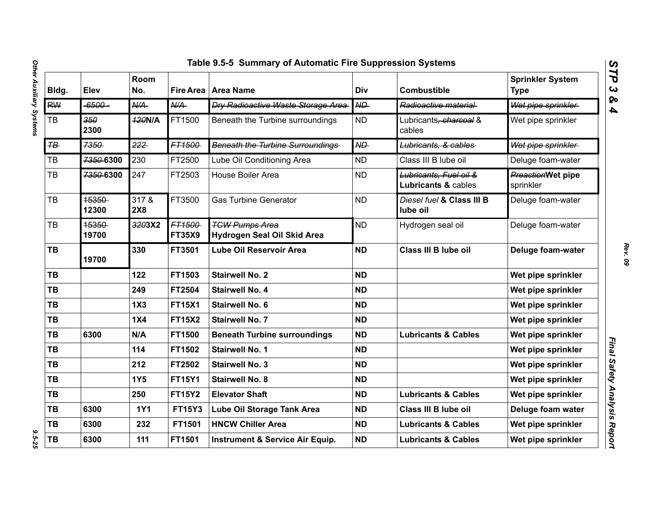| Bldg.          | Elev           | Room<br>No.      |                         | Fire Area   Area Name                                | Div            | <b>Combustible</b>                            | <b>Sprinkler System</b><br><b>Type</b> |
|----------------|----------------|------------------|-------------------------|------------------------------------------------------|----------------|-----------------------------------------------|----------------------------------------|
| <b>RW</b>      | -6500-         | $A\rightarrow A$ | N/A                     | <b>Dry Radioactive Waste Storage Area-</b>           | ND             | Radioactive material                          | Wet pipe sprinkler                     |
| TB             | 350<br>2300    | <b>420N/A</b>    | FT1500                  | Beneath the Turbine surroundings                     | <b>ND</b>      | Lubricants <del>, charcoal</del> &<br>cables  | Wet pipe sprinkler                     |
| $H\rightarrow$ | 7350           | 222              | FT1500                  | <b>Beneath the Turbine Surroundings</b>              | N <sub>D</sub> | Lubricants, & cables                          | Wet pipe sprinkler                     |
| ТB             | 7350-6300      | 230              | FT2500                  | Lube Oil Conditioning Area                           | <b>ND</b>      | Class III B lube oil                          | Deluge foam-water                      |
| TB             | 7350-6300      | 247              | FT2503                  | <b>House Boiler Area</b>                             | <b>ND</b>      | Lubricants, Fuel oil &<br>Lubricants & cables | <b>PreactionWet pipe</b><br>sprinkler  |
| <b>TB</b>      | 15350<br>12300 | 317 &<br>2X8     | FT3500                  | <b>Gas Turbine Generator</b>                         | <b>ND</b>      | Diesel fuel & Class III B<br>lube oil         | Deluge foam-water                      |
| <b>TB</b>      | 15350<br>19700 | 3203X2           | FT1500<br><b>FT35X9</b> | <b>TGW Pumps Area</b><br>Hydrogen Seal Oil Skid Area | <b>ND</b>      | Hydrogen seal oil                             | Deluge foam-water                      |
| TB             | 19700          | 330              | FT3501                  | <b>Lube Oil Reservoir Area</b>                       | <b>ND</b>      | Class III B lube oil                          | Deluge foam-water                      |
| TB             |                | 122              | FT1503                  | <b>Stairwell No. 2</b>                               | <b>ND</b>      |                                               | Wet pipe sprinkler                     |
| <b>TB</b>      |                | 249              | FT2504                  | <b>Stairwell No. 4</b>                               | <b>ND</b>      |                                               | Wet pipe sprinkler                     |
| <b>TB</b>      |                | 1X3              | <b>FT15X1</b>           | <b>Stairwell No. 6</b>                               | <b>ND</b>      |                                               | Wet pipe sprinkler                     |
| <b>TB</b>      |                | 1X4              | <b>FT15X2</b>           | <b>Stairwell No. 7</b>                               | <b>ND</b>      |                                               | Wet pipe sprinkler                     |
| <b>TB</b>      | 6300           | N/A              | FT1500                  | <b>Beneath Turbine surroundings</b>                  | <b>ND</b>      | <b>Lubricants &amp; Cables</b>                | Wet pipe sprinkler                     |
| <b>TB</b>      |                | 114              | FT1502                  | <b>Stairwell No. 1</b>                               | <b>ND</b>      |                                               | Wet pipe sprinkler                     |
| <b>TB</b>      |                | 212              | FT2502                  | <b>Stairwell No. 3</b>                               | <b>ND</b>      |                                               | Wet pipe sprinkler                     |
| <b>TB</b>      |                | <b>1Y5</b>       | <b>FT15Y1</b>           | <b>Stairwell No. 8</b>                               | <b>ND</b>      |                                               | Wet pipe sprinkler                     |
| <b>TB</b>      |                | 250              | <b>FT15Y2</b>           | <b>Elevator Shaft</b>                                | <b>ND</b>      | <b>Lubricants &amp; Cables</b>                | Wet pipe sprinkler                     |
| TB             | 6300           | <b>1Y1</b>       | <b>FT15Y3</b>           | Lube Oil Storage Tank Area                           | <b>ND</b>      | Class III B lube oil                          | Deluge foam water                      |
| TB             | 6300           | 232              | FT1501                  | <b>HNCW Chiller Area</b>                             | <b>ND</b>      | <b>Lubricants &amp; Cables</b>                | Wet pipe sprinkler                     |
| TB             | 6300           | 111              | FT1501                  | <b>Instrument &amp; Service Air Equip.</b>           | <b>ND</b>      | <b>Lubricants &amp; Cables</b>                | Wet pipe sprinkler                     |

*STP 3 & 4*

 $9.5 - 25$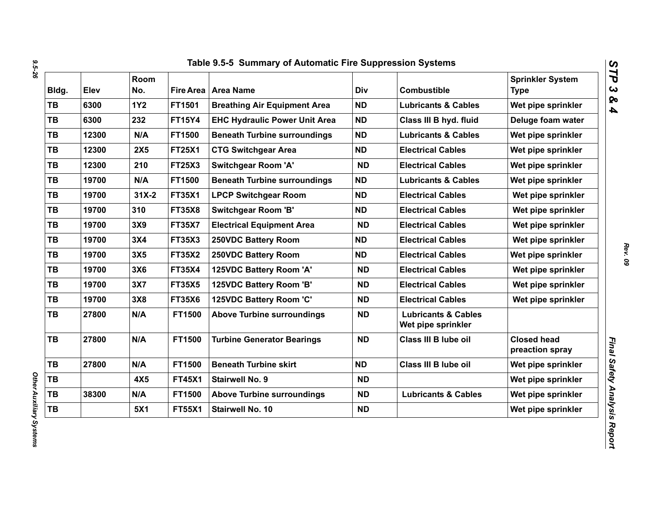| Bldg.     | Elev  | Room<br>No. |               | Fire Area   Area Name                | Div       | <b>Combustible</b>                                   | <b>Sprinkler System</b><br><b>Type</b> |
|-----------|-------|-------------|---------------|--------------------------------------|-----------|------------------------------------------------------|----------------------------------------|
| <b>TB</b> | 6300  | <b>1Y2</b>  | FT1501        | <b>Breathing Air Equipment Area</b>  | <b>ND</b> | <b>Lubricants &amp; Cables</b>                       | Wet pipe sprinkler                     |
| <b>TB</b> | 6300  | 232         | <b>FT15Y4</b> | <b>EHC Hydraulic Power Unit Area</b> | <b>ND</b> | Class III B hyd. fluid                               | Deluge foam water                      |
| TB        | 12300 | N/A         | FT1500        | <b>Beneath Turbine surroundings</b>  | <b>ND</b> | <b>Lubricants &amp; Cables</b>                       | Wet pipe sprinkler                     |
| TB        | 12300 | <b>2X5</b>  | <b>FT25X1</b> | <b>CTG Switchgear Area</b>           | <b>ND</b> | <b>Electrical Cables</b>                             | Wet pipe sprinkler                     |
| TB        | 12300 | 210         | <b>FT25X3</b> | <b>Switchgear Room 'A'</b>           | <b>ND</b> | <b>Electrical Cables</b>                             | Wet pipe sprinkler                     |
| TB        | 19700 | N/A         | FT1500        | <b>Beneath Turbine surroundings</b>  | <b>ND</b> | <b>Lubricants &amp; Cables</b>                       | Wet pipe sprinkler                     |
| <b>TB</b> | 19700 | $31X-2$     | <b>FT35X1</b> | <b>LPCP Switchgear Room</b>          | <b>ND</b> | <b>Electrical Cables</b>                             | Wet pipe sprinkler                     |
| <b>TB</b> | 19700 | 310         | <b>FT35X8</b> | <b>Switchgear Room 'B'</b>           | <b>ND</b> | <b>Electrical Cables</b>                             | Wet pipe sprinkler                     |
| <b>TB</b> | 19700 | 3X9         | <b>FT35X7</b> | <b>Electrical Equipment Area</b>     | <b>ND</b> | <b>Electrical Cables</b>                             | Wet pipe sprinkler                     |
| <b>TB</b> | 19700 | 3X4         | <b>FT35X3</b> | 250VDC Battery Room                  | <b>ND</b> | <b>Electrical Cables</b>                             | Wet pipe sprinkler                     |
| <b>TB</b> | 19700 | 3X5         | <b>FT35X2</b> | 250VDC Battery Room                  | <b>ND</b> | <b>Electrical Cables</b>                             | Wet pipe sprinkler                     |
| TB        | 19700 | 3X6         | <b>FT35X4</b> | 125VDC Battery Room 'A'              | <b>ND</b> | <b>Electrical Cables</b>                             | Wet pipe sprinkler                     |
| <b>TB</b> | 19700 | 3X7         | <b>FT35X5</b> | 125VDC Battery Room 'B'              | <b>ND</b> | <b>Electrical Cables</b>                             | Wet pipe sprinkler                     |
| TB        | 19700 | 3X8         | <b>FT35X6</b> | 125VDC Battery Room 'C'              | <b>ND</b> | <b>Electrical Cables</b>                             | Wet pipe sprinkler                     |
| <b>TB</b> | 27800 | N/A         | FT1500        | <b>Above Turbine surroundings</b>    | <b>ND</b> | <b>Lubricants &amp; Cables</b><br>Wet pipe sprinkler |                                        |
| <b>TB</b> | 27800 | N/A         | FT1500        | <b>Turbine Generator Bearings</b>    | <b>ND</b> | Class III B lube oil                                 | <b>Closed head</b><br>preaction spray  |
| <b>TB</b> | 27800 | N/A         | FT1500        | <b>Beneath Turbine skirt</b>         | <b>ND</b> | Class III B lube oil                                 | Wet pipe sprinkler                     |
| TB        |       | 4X5         | <b>FT45X1</b> | <b>Stairwell No. 9</b>               | <b>ND</b> |                                                      | Wet pipe sprinkler                     |
| TB        | 38300 | N/A         | FT1500        | <b>Above Turbine surroundings</b>    | <b>ND</b> | <b>Lubricants &amp; Cables</b>                       | Wet pipe sprinkler                     |
| TB        |       | 5X1         | <b>FT55X1</b> | Stairwell No. 10                     | <b>ND</b> |                                                      | Wet pipe sprinkler                     |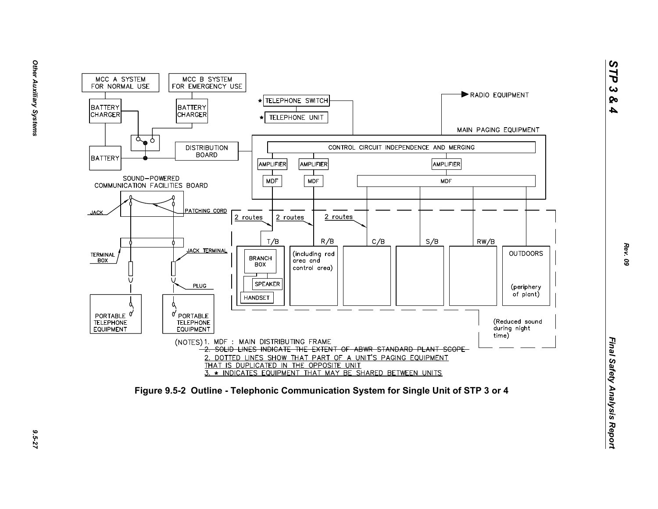

*STP 3 & 4*

9.5-27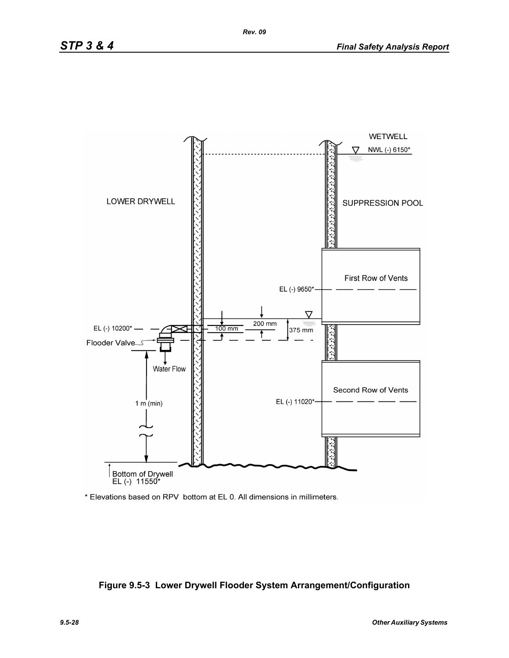

\* Elevations based on RPV bottom at EL 0. All dimensions in millimeters.

## **Figure 9.5-3 Lower Drywell Flooder System Arrangement/Configuration**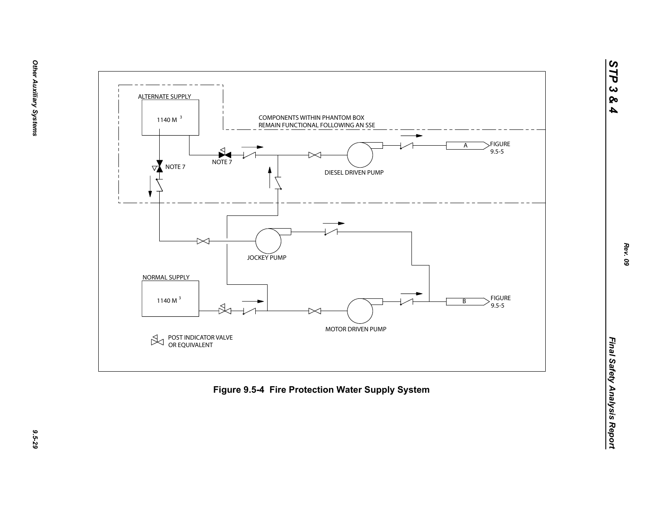



9.5-29